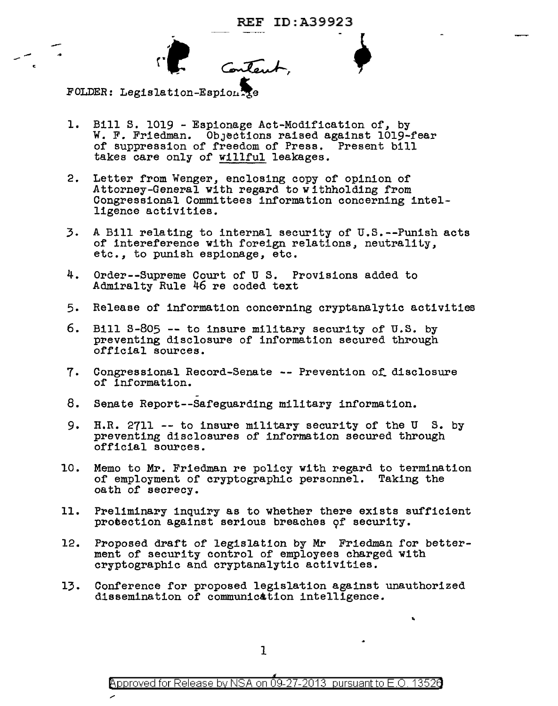Content,

FOLDER: Legislation-Espion Re

--- -c

- 1. Bill S. 1019 Espionage Act-Modification of, by W. F. Friedman. Objections raised against 1019-fear of suppression of freedom of Press. Present bill takes care only of willful leakages.
- 2. Letter from Wenger, enclosing copy of opinion of Attorney-General with regard to withholding from Congressional Committees information concerning intelligence activities.
- 3. A Bill relating to internal security of u.s.--Punish acts of intereference with foreign relations, neutrality, etc., to punish espionage, etc.
- 4. Order--Supreme Court of U s. Provisions added to Admiralty Rule 46 re coded text
- 5. Release of information concerning cryptanalytic activities
- 6. Bill S-805 -- to insure military security of U.S. by preventing disclosure of information secured through official sources.
- 7. Congressional Record-Senate -- Prevention of disclosure of information.
- 8. Senate Report--Safeguarding military information.
- 9. H.R. 2711 -- to insure military security of the U S. by preventing disclosures of information secured through official sources.
- 10. Memo to Mr. Friedman re policy with regard to termination of employment of cryptographic personnel. Taking the oath of secrecy.
- 11. Preliminary inquiry as to whether there exists sufficient protection against serious breaches of security.
- 12. Proposed draft of legislation by Mr Friedman for betterment of security control of employees charged with cryptographic and cryptanalytic activities.
- 13. Conference for proposed legislation against unauthorized dissemination of communication intelligence.

..